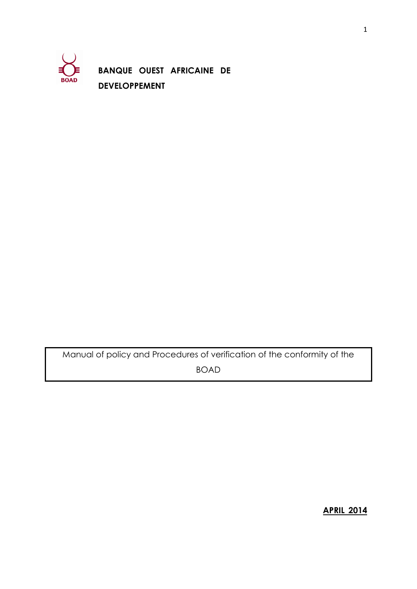

**BANQUE OUEST AFRICAINE DE DEVELOPPEMENT**

Manual of policy and Procedures of verification of the conformity of the BOAD

**APRIL 2014**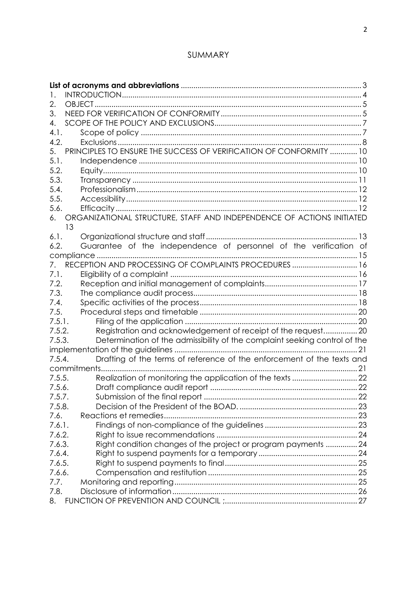# SUMMARY

| $\mathsf{L}$ |                                                                             |  |
|--------------|-----------------------------------------------------------------------------|--|
| 2.           |                                                                             |  |
| 3.           |                                                                             |  |
| 4.           |                                                                             |  |
| 4.1.         |                                                                             |  |
| 4.2.         |                                                                             |  |
| 5.           | PRINCIPLES TO ENSURE THE SUCCESS OF VERIFICATION OF CONFORMITY  10          |  |
| 5.1.         |                                                                             |  |
| 5.2.         |                                                                             |  |
| 5.3.         |                                                                             |  |
| 5.4.         |                                                                             |  |
| 5.5.         |                                                                             |  |
| 5.6.         |                                                                             |  |
| 6.           | ORGANIZATIONAL STRUCTURE, STAFF AND INDEPENDENCE OF ACTIONS INITIATED<br>13 |  |
| 6.1.         |                                                                             |  |
| 6.2.         | Guarantee of the independence of personnel of the verification of           |  |
|              |                                                                             |  |
|              |                                                                             |  |
| 7.1.         |                                                                             |  |
| 7.2.         |                                                                             |  |
| 7.3.         |                                                                             |  |
| 7.4.         |                                                                             |  |
| 7.5.         |                                                                             |  |
| 7.5.1.       |                                                                             |  |
| 7.5.2.       | Registration and acknowledgement of receipt of the request 20               |  |
| 7.5.3.       | Determination of the admissibility of the complaint seeking control of the  |  |
|              |                                                                             |  |
| 7.5.4.       | Drafting of the terms of reference of the enforcement of the texts and      |  |
|              | commitments                                                                 |  |
| 7.5.5.       |                                                                             |  |
| 7.5.6.       |                                                                             |  |
| 7.5.7.       |                                                                             |  |
| 7.5.8.       |                                                                             |  |
| 7.6.         |                                                                             |  |
| 7.6.1.       |                                                                             |  |
| 7.6.2.       |                                                                             |  |
| 7.6.3.       | Right condition changes of the project or program payments  24              |  |
| 7.6.4.       |                                                                             |  |
| 7.6.5.       |                                                                             |  |
| 7.6.6.       |                                                                             |  |
| 7.7.         |                                                                             |  |
| 7.8.         |                                                                             |  |
| 8.           |                                                                             |  |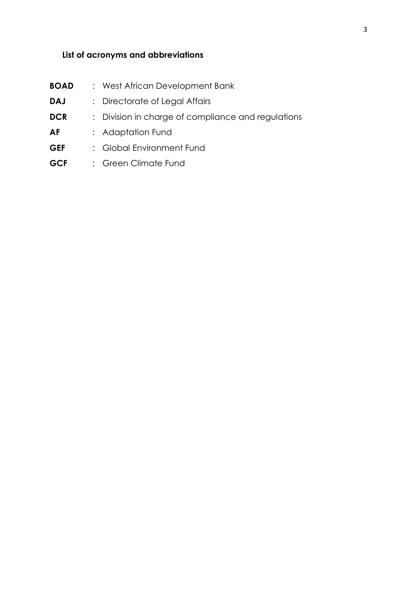# <span id="page-2-0"></span>**List of acronyms and abbreviations**

| <b>BOAD</b> | : West African Development Bank                    |
|-------------|----------------------------------------------------|
| <b>DAJ</b>  | : Directorate of Legal Affairs                     |
| <b>DCR</b>  | : Division in charge of compliance and regulations |
| AF          | : Adaptation Fund                                  |
| <b>GEF</b>  | : Global Environment Fund                          |
| <b>GCF</b>  | : Green Climate Fund                               |
|             |                                                    |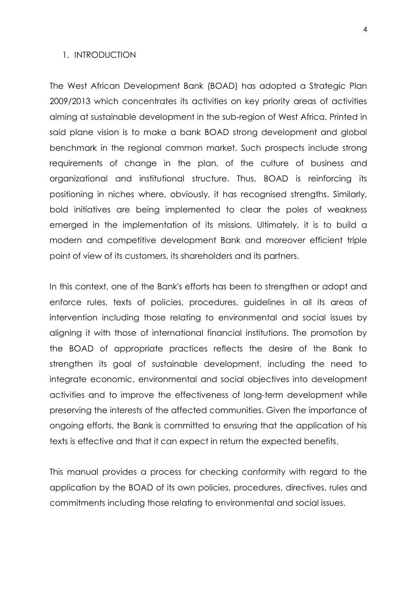#### <span id="page-3-0"></span>1. INTRODUCTION

The West African Development Bank (BOAD) has adopted a Strategic Plan 2009/2013 which concentrates its activities on key priority areas of activities aiming at sustainable development in the sub-region of West Africa. Printed in said plane vision is to make a bank BOAD strong development and global benchmark in the regional common market. Such prospects include strong requirements of change in the plan, of the culture of business and organizational and institutional structure. Thus, BOAD is reinforcing its positioning in niches where, obviously, it has recognised strengths. Similarly, bold initiatives are being implemented to clear the poles of weakness emerged in the implementation of its missions. Ultimately, it is to build a modern and competitive development Bank and moreover efficient triple point of view of its customers, its shareholders and its partners.

In this context, one of the Bank's efforts has been to strengthen or adopt and enforce rules, texts of policies, procedures, guidelines in all its areas of intervention including those relating to environmental and social issues by aligning it with those of international financial institutions. The promotion by the BOAD of appropriate practices reflects the desire of the Bank to strengthen its goal of sustainable development, including the need to integrate economic, environmental and social objectives into development activities and to improve the effectiveness of long-term development while preserving the interests of the affected communities. Given the importance of ongoing efforts, the Bank is committed to ensuring that the application of his texts is effective and that it can expect in return the expected benefits.

This manual provides a process for checking conformity with regard to the application by the BOAD of its own policies, procedures, directives, rules and commitments including those relating to environmental and social issues.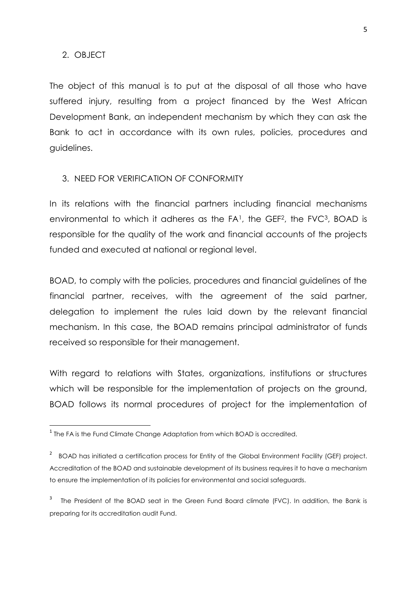#### <span id="page-4-0"></span>2. OBJECT

**.** 

The object of this manual is to put at the disposal of all those who have suffered injury, resulting from a project financed by the West African Development Bank, an independent mechanism by which they can ask the Bank to act in accordance with its own rules, policies, procedures and guidelines.

#### <span id="page-4-1"></span>3. NEED FOR VERIFICATION OF CONFORMITY

In its relations with the financial partners including financial mechanisms environmental to which it adheres as the FA<sup>1</sup>, the GEF<sup>2</sup>, the FVC<sup>3</sup>, BOAD is responsible for the quality of the work and financial accounts of the projects funded and executed at national or regional level.

BOAD, to comply with the policies, procedures and financial guidelines of the financial partner, receives, with the agreement of the said partner, delegation to implement the rules laid down by the relevant financial mechanism. In this case, the BOAD remains principal administrator of funds received so responsible for their management.

With regard to relations with States, organizations, institutions or structures which will be responsible for the implementation of projects on the ground, BOAD follows its normal procedures of project for the implementation of

 $^{\rm 1}$  The FA is the Fund Climate Change Adaptation from which BOAD is accredited.

<sup>&</sup>lt;sup>2</sup> BOAD has initiated a certification process for Entity of the Global Environment Facility (GEF) project. Accreditation of the BOAD and sustainable development of its business requires it to have a mechanism to ensure the implementation of its policies for environmental and social safeguards.

<sup>3</sup> The President of the BOAD seat in the Green Fund Board climate (FVC). In addition, the Bank is preparing for its accreditation audit Fund.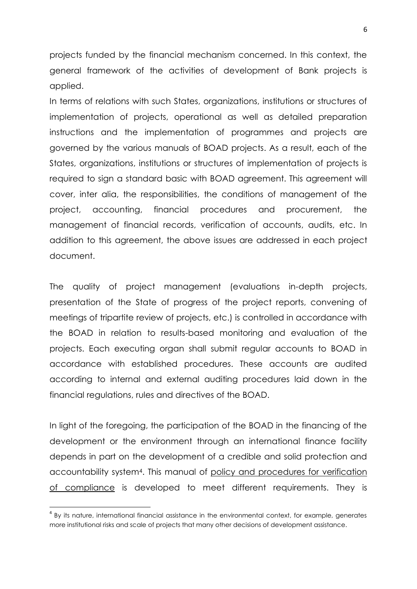projects funded by the financial mechanism concerned. In this context, the general framework of the activities of development of Bank projects is applied.

In terms of relations with such States, organizations, institutions or structures of implementation of projects, operational as well as detailed preparation instructions and the implementation of programmes and projects are governed by the various manuals of BOAD projects. As a result, each of the States, organizations, institutions or structures of implementation of projects is required to sign a standard basic with BOAD agreement. This agreement will cover, inter alia, the responsibilities, the conditions of management of the project, accounting, financial procedures and procurement, the management of financial records, verification of accounts, audits, etc. In addition to this agreement, the above issues are addressed in each project document.

The quality of project management (evaluations in-depth projects, presentation of the State of progress of the project reports, convening of meetings of tripartite review of projects, etc.) is controlled in accordance with the BOAD in relation to results-based monitoring and evaluation of the projects. Each executing organ shall submit regular accounts to BOAD in accordance with established procedures. These accounts are audited according to internal and external auditing procedures laid down in the financial regulations, rules and directives of the BOAD.

In light of the foregoing, the participation of the BOAD in the financing of the development or the environment through an international finance facility depends in part on the development of a credible and solid protection and accountability system4. This manual of policy and procedures for verification of compliance is developed to meet different requirements. They is

**.** 

<sup>&</sup>lt;sup>4</sup> By its nature, international financial assistance in the environmental context, for example, generates more institutional risks and scale of projects that many other decisions of development assistance.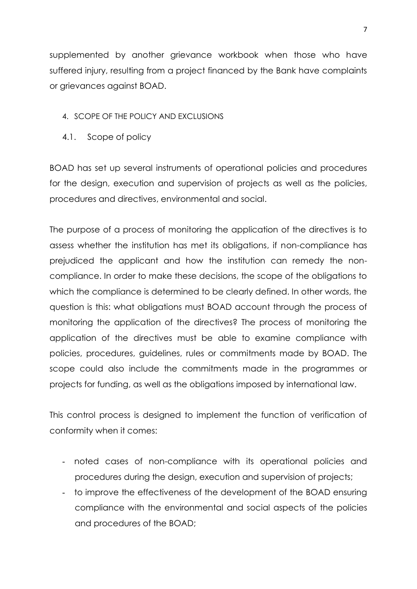supplemented by another grievance workbook when those who have suffered injury, resulting from a project financed by the Bank have complaints or grievances against BOAD.

### <span id="page-6-0"></span>4. SCOPE OF THE POLICY AND EXCLUSIONS

<span id="page-6-1"></span>4.1. Scope of policy

BOAD has set up several instruments of operational policies and procedures for the design, execution and supervision of projects as well as the policies, procedures and directives, environmental and social.

The purpose of a process of monitoring the application of the directives is to assess whether the institution has met its obligations, if non-compliance has prejudiced the applicant and how the institution can remedy the noncompliance. In order to make these decisions, the scope of the obligations to which the compliance is determined to be clearly defined. In other words, the question is this: what obligations must BOAD account through the process of monitoring the application of the directives? The process of monitoring the application of the directives must be able to examine compliance with policies, procedures, guidelines, rules or commitments made by BOAD. The scope could also include the commitments made in the programmes or projects for funding, as well as the obligations imposed by international law.

This control process is designed to implement the function of verification of conformity when it comes:

- noted cases of non-compliance with its operational policies and procedures during the design, execution and supervision of projects;
- to improve the effectiveness of the development of the BOAD ensuring compliance with the environmental and social aspects of the policies and procedures of the BOAD;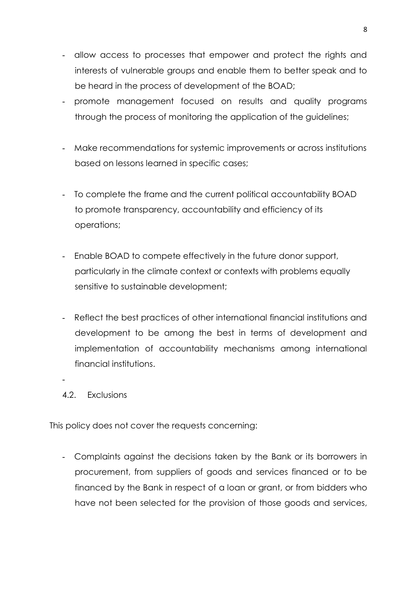- allow access to processes that empower and protect the rights and interests of vulnerable groups and enable them to better speak and to be heard in the process of development of the BOAD;
- promote management focused on results and quality programs through the process of monitoring the application of the guidelines;
- Make recommendations for systemic improvements or across institutions based on lessons learned in specific cases;
- To complete the frame and the current political accountability BOAD to promote transparency, accountability and efficiency of its operations;
- Enable BOAD to compete effectively in the future donor support, particularly in the climate context or contexts with problems equally sensitive to sustainable development;
- Reflect the best practices of other international financial institutions and development to be among the best in terms of development and implementation of accountability mechanisms among international financial institutions.
- <span id="page-7-0"></span>4.2. Exclusions

-

This policy does not cover the requests concerning:

- Complaints against the decisions taken by the Bank or its borrowers in procurement, from suppliers of goods and services financed or to be financed by the Bank in respect of a loan or grant, or from bidders who have not been selected for the provision of those goods and services,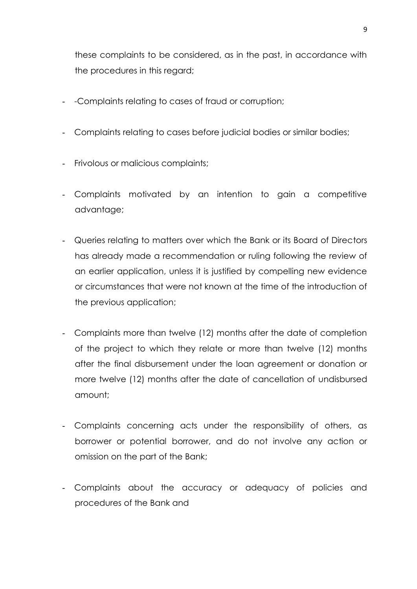these complaints to be considered, as in the past, in accordance with the procedures in this regard;

- -Complaints relating to cases of fraud or corruption;
- Complaints relating to cases before judicial bodies or similar bodies;
- Frivolous or malicious complaints;
- Complaints motivated by an intention to gain a competitive advantage;
- Queries relating to matters over which the Bank or its Board of Directors has already made a recommendation or ruling following the review of an earlier application, unless it is justified by compelling new evidence or circumstances that were not known at the time of the introduction of the previous application;
- Complaints more than twelve (12) months after the date of completion of the project to which they relate or more than twelve (12) months after the final disbursement under the loan agreement or donation or more twelve (12) months after the date of cancellation of undisbursed amount;
- Complaints concerning acts under the responsibility of others, as borrower or potential borrower, and do not involve any action or omission on the part of the Bank;
- Complaints about the accuracy or adequacy of policies and procedures of the Bank and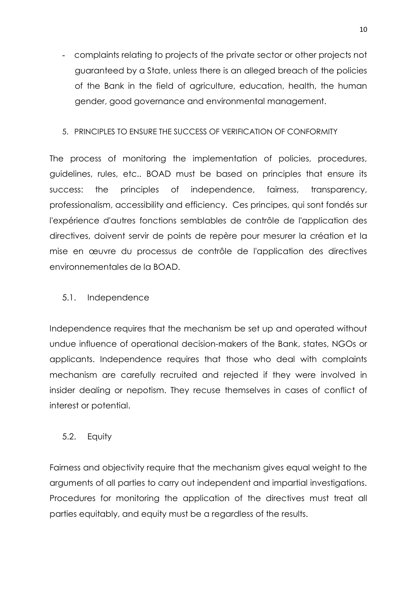- complaints relating to projects of the private sector or other projects not guaranteed by a State, unless there is an alleged breach of the policies of the Bank in the field of agriculture, education, health, the human gender, good governance and environmental management.

### <span id="page-9-0"></span>5. PRINCIPLES TO ENSURE THE SUCCESS OF VERIFICATION OF CONFORMITY

The process of monitoring the implementation of policies, procedures, guidelines, rules, etc.. BOAD must be based on principles that ensure its success: the principles of independence, fairness, transparency, professionalism, accessibility and efficiency. Ces principes, qui sont fondés sur l'expérience d'autres fonctions semblables de contrôle de l'application des directives, doivent servir de points de repère pour mesurer la création et la mise en œuvre du processus de contrôle de l'application des directives environnementales de la BOAD.

### <span id="page-9-1"></span>5.1. Independence

Independence requires that the mechanism be set up and operated without undue influence of operational decision-makers of the Bank, states, NGOs or applicants. Independence requires that those who deal with complaints mechanism are carefully recruited and rejected if they were involved in insider dealing or nepotism. They recuse themselves in cases of conflict of interest or potential.

### <span id="page-9-2"></span>5.2. Equity

Fairness and objectivity require that the mechanism gives equal weight to the arguments of all parties to carry out independent and impartial investigations. Procedures for monitoring the application of the directives must treat all parties equitably, and equity must be a regardless of the results.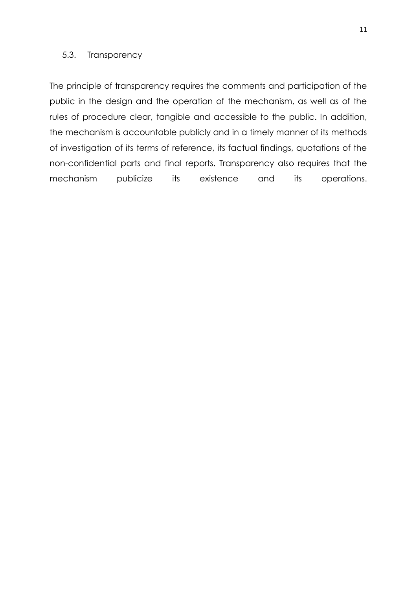#### <span id="page-10-0"></span>5.3. Transparency

The principle of transparency requires the comments and participation of the public in the design and the operation of the mechanism, as well as of the rules of procedure clear, tangible and accessible to the public. In addition, the mechanism is accountable publicly and in a timely manner of its methods of investigation of its terms of reference, its factual findings, quotations of the non-confidential parts and final reports. Transparency also requires that the mechanism publicize its existence and its operations.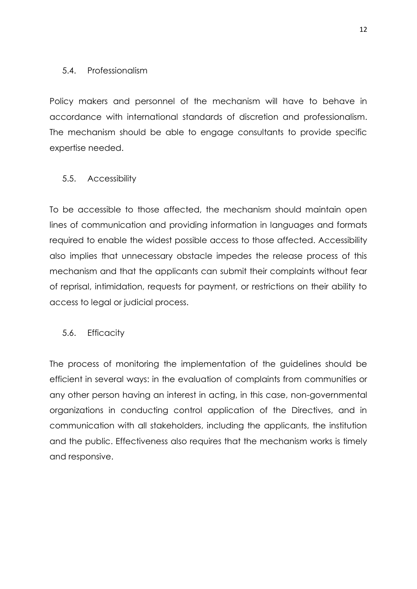### <span id="page-11-0"></span>5.4. Professionalism

Policy makers and personnel of the mechanism will have to behave in accordance with international standards of discretion and professionalism. The mechanism should be able to engage consultants to provide specific expertise needed.

#### <span id="page-11-1"></span>5.5. Accessibility

To be accessible to those affected, the mechanism should maintain open lines of communication and providing information in languages and formats required to enable the widest possible access to those affected. Accessibility also implies that unnecessary obstacle impedes the release process of this mechanism and that the applicants can submit their complaints without fear of reprisal, intimidation, requests for payment, or restrictions on their ability to access to legal or judicial process.

#### <span id="page-11-2"></span>5.6. Efficacity

The process of monitoring the implementation of the guidelines should be efficient in several ways: in the evaluation of complaints from communities or any other person having an interest in acting, in this case, non-governmental organizations in conducting control application of the Directives, and in communication with all stakeholders, including the applicants, the institution and the public. Effectiveness also requires that the mechanism works is timely and responsive.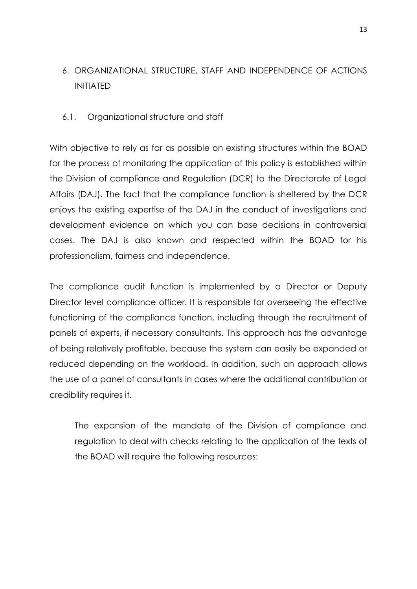# <span id="page-12-0"></span>6. ORGANIZATIONAL STRUCTURE, STAFF AND INDEPENDENCE OF ACTIONS INITIATED

### <span id="page-12-1"></span>6.1. Organizational structure and staff

With objective to rely as far as possible on existing structures within the BOAD for the process of monitoring the application of this policy is established within the Division of compliance and Regulation (DCR) to the Directorate of Legal Affairs (DAJ). The fact that the compliance function is sheltered by the DCR enjoys the existing expertise of the DAJ in the conduct of investigations and development evidence on which you can base decisions in controversial cases. The DAJ is also known and respected within the BOAD for his professionalism, fairness and independence.

The compliance audit function is implemented by a Director or Deputy Director level compliance officer. It is responsible for overseeing the effective functioning of the compliance function, including through the recruitment of panels of experts, if necessary consultants. This approach has the advantage of being relatively profitable, because the system can easily be expanded or reduced depending on the workload. In addition, such an approach allows the use of a panel of consultants in cases where the additional contribution or credibility requires it.

The expansion of the mandate of the Division of compliance and regulation to deal with checks relating to the application of the texts of the BOAD will require the following resources: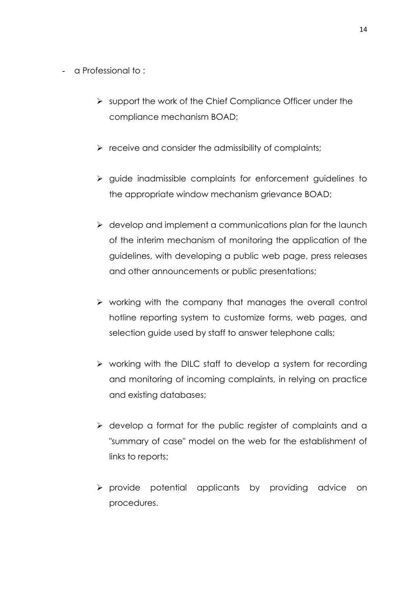- a Professional to :
	- $\triangleright$  support the work of the Chief Compliance Officer under the compliance mechanism BOAD;
	- $\triangleright$  receive and consider the admissibility of complaints;
	- $\triangleright$  guide inadmissible complaints for enforcement guidelines to the appropriate window mechanism grievance BOAD;
	- $\triangleright$  develop and implement a communications plan for the launch of the interim mechanism of monitoring the application of the guidelines, with developing a public web page, press releases and other announcements or public presentations;
	- $\triangleright$  working with the company that manages the overall control hotline reporting system to customize forms, web pages, and selection guide used by staff to answer telephone calls;
	- $\triangleright$  working with the DILC staff to develop a system for recording and monitoring of incoming complaints, in relying on practice and existing databases;
	- $\triangleright$  develop a format for the public reaister of complaints and a "summary of case" model on the web for the establishment of links to reports;
	- $\triangleright$  provide potential applicants by providing advice on procedures.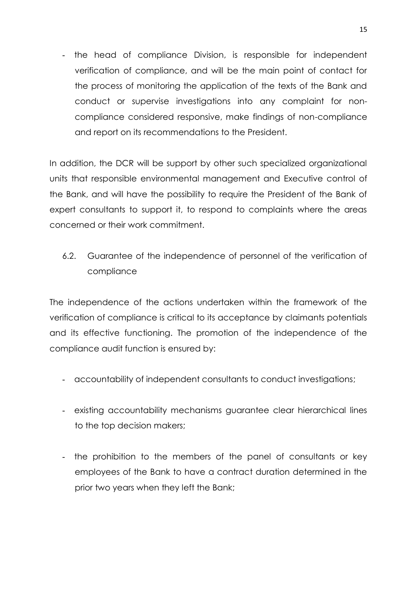- the head of compliance Division, is responsible for independent verification of compliance, and will be the main point of contact for the process of monitoring the application of the texts of the Bank and conduct or supervise investigations into any complaint for noncompliance considered responsive, make findings of non-compliance and report on its recommendations to the President.

In addition, the DCR will be support by other such specialized organizational units that responsible environmental management and Executive control of the Bank, and will have the possibility to require the President of the Bank of expert consultants to support it, to respond to complaints where the areas concerned or their work commitment.

<span id="page-14-0"></span>6.2. Guarantee of the independence of personnel of the verification of compliance

The independence of the actions undertaken within the framework of the verification of compliance is critical to its acceptance by claimants potentials and its effective functioning. The promotion of the independence of the compliance audit function is ensured by:

- accountability of independent consultants to conduct investigations;
- existing accountability mechanisms guarantee clear hierarchical lines to the top decision makers;
- the prohibition to the members of the panel of consultants or key employees of the Bank to have a contract duration determined in the prior two years when they left the Bank;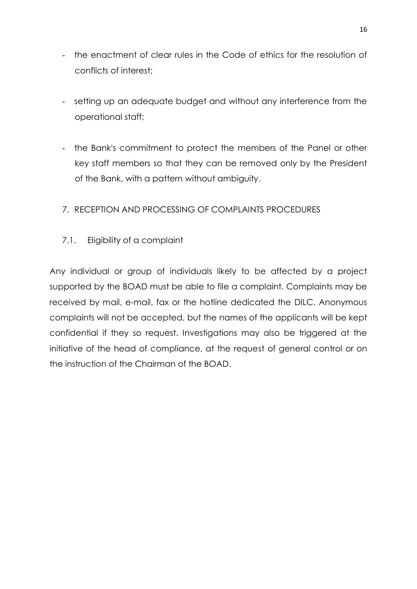- the enactment of clear rules in the Code of ethics for the resolution of conflicts of interest;
- setting up an adequate budget and without any interference from the operational staff;
- the Bank's commitment to protect the members of the Panel or other key staff members so that they can be removed only by the President of the Bank, with a pattern without ambiguity.

# <span id="page-15-0"></span>7. RECEPTION AND PROCESSING OF COMPLAINTS PROCEDURES

<span id="page-15-1"></span>7.1. Eligibility of a complaint

Any individual or group of individuals likely to be affected by a project supported by the BOAD must be able to file a complaint. Complaints may be received by mail, e-mail, fax or the hotline dedicated the DILC. Anonymous complaints will not be accepted, but the names of the applicants will be kept confidential if they so request. Investigations may also be triggered at the initiative of the head of compliance, at the request of general control or on the instruction of the Chairman of the BOAD.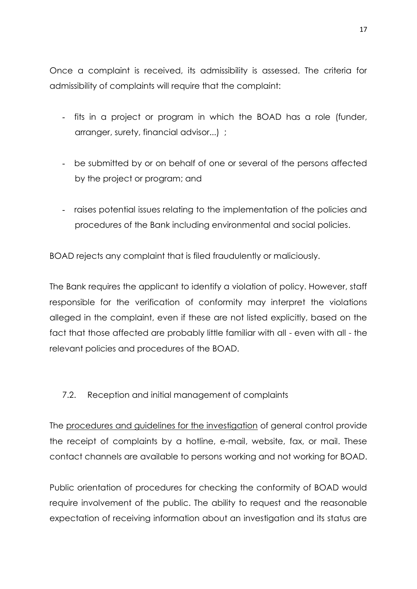Once a complaint is received, its admissibility is assessed. The criteria for admissibility of complaints will require that the complaint:

- fits in a project or program in which the BOAD has a role (funder, arranger, surety, financial advisor...) ;
- be submitted by or on behalf of one or several of the persons affected by the project or program; and
- raises potential issues relating to the implementation of the policies and procedures of the Bank including environmental and social policies.

BOAD rejects any complaint that is filed fraudulently or maliciously.

The Bank requires the applicant to identify a violation of policy. However, staff responsible for the verification of conformity may interpret the violations alleged in the complaint, even if these are not listed explicitly, based on the fact that those affected are probably little familiar with all - even with all - the relevant policies and procedures of the BOAD.

### <span id="page-16-0"></span>7.2. Reception and initial management of complaints

The procedures and guidelines for the investigation of general control provide the receipt of complaints by a hotline, e-mail, website, fax, or mail. These contact channels are available to persons working and not working for BOAD.

Public orientation of procedures for checking the conformity of BOAD would require involvement of the public. The ability to request and the reasonable expectation of receiving information about an investigation and its status are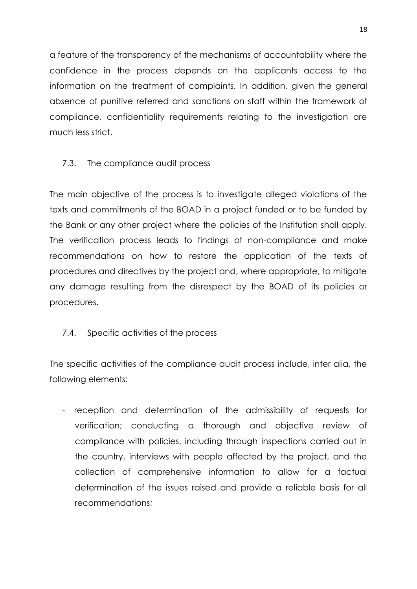a feature of the transparency of the mechanisms of accountability where the confidence in the process depends on the applicants access to the information on the treatment of complaints. In addition, given the general absence of punitive referred and sanctions on staff within the framework of compliance, confidentiality requirements relating to the investigation are much less strict.

## <span id="page-17-0"></span>7.3. The compliance audit process

The main objective of the process is to investigate alleged violations of the texts and commitments of the BOAD in a project funded or to be funded by the Bank or any other project where the policies of the Institution shall apply. The verification process leads to findings of non-compliance and make recommendations on how to restore the application of the texts of procedures and directives by the project and, where appropriate, to mitigate any damage resulting from the disrespect by the BOAD of its policies or procedures.

### <span id="page-17-1"></span>7.4. Specific activities of the process

The specific activities of the compliance audit process include, inter alia, the following elements:

- reception and determination of the admissibility of requests for verification; conducting a thorough and objective review of compliance with policies, including through inspections carried out in the country, interviews with people affected by the project, and the collection of comprehensive information to allow for a factual determination of the issues raised and provide a reliable basis for all recommendations;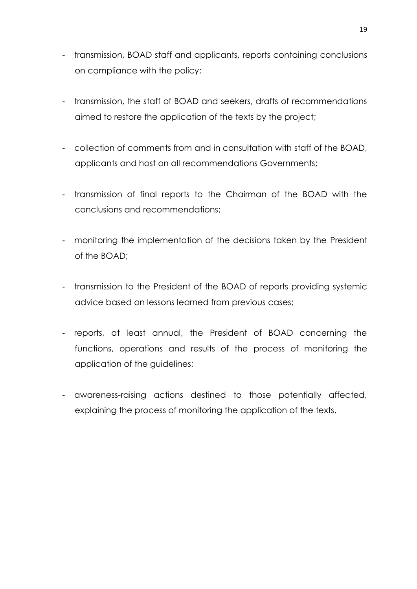- transmission, BOAD staff and applicants, reports containing conclusions on compliance with the policy;
- transmission, the staff of BOAD and seekers, drafts of recommendations aimed to restore the application of the texts by the project;
- collection of comments from and in consultation with staff of the BOAD, applicants and host on all recommendations Governments;
- transmission of final reports to the Chairman of the BOAD with the conclusions and recommendations;
- monitoring the implementation of the decisions taken by the President of the BOAD;
- transmission to the President of the BOAD of reports providing systemic advice based on lessons learned from previous cases;
- reports, at least annual, the President of BOAD concerning the functions, operations and results of the process of monitoring the application of the guidelines;
- awareness-raising actions destined to those potentially affected, explaining the process of monitoring the application of the texts.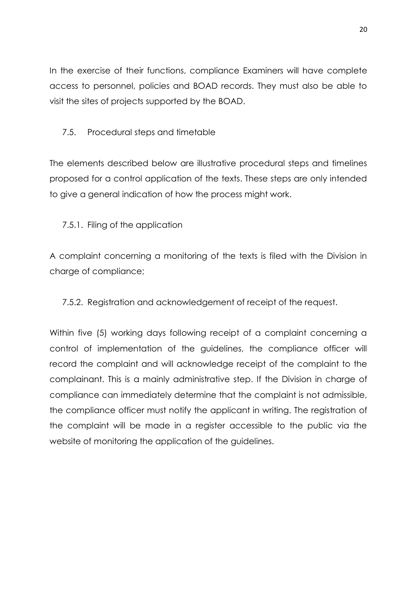In the exercise of their functions, compliance Examiners will have complete access to personnel, policies and BOAD records. They must also be able to visit the sites of projects supported by the BOAD.

## <span id="page-19-0"></span>7.5. Procedural steps and timetable

The elements described below are illustrative procedural steps and timelines proposed for a control application of the texts. These steps are only intended to give a general indication of how the process might work.

## <span id="page-19-1"></span>7.5.1. Filing of the application

A complaint concerning a monitoring of the texts is filed with the Division in charge of compliance;

<span id="page-19-2"></span>7.5.2. Registration and acknowledgement of receipt of the request.

Within five (5) working days following receipt of a complaint concerning a control of implementation of the guidelines, the compliance officer will record the complaint and will acknowledge receipt of the complaint to the complainant. This is a mainly administrative step. If the Division in charge of compliance can immediately determine that the complaint is not admissible, the compliance officer must notify the applicant in writing. The registration of the complaint will be made in a register accessible to the public via the website of monitoring the application of the quidelines.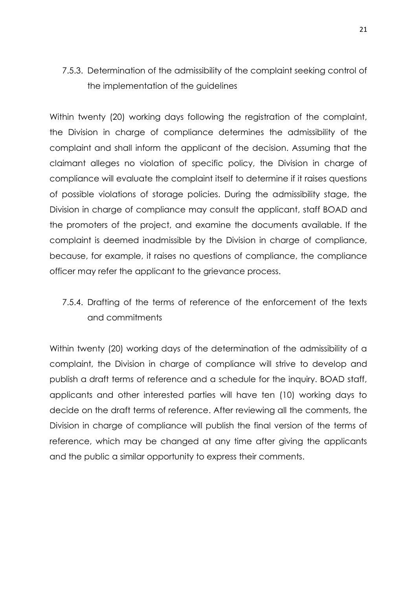# <span id="page-20-0"></span>7.5.3. Determination of the admissibility of the complaint seeking control of the implementation of the guidelines

Within twenty (20) working days following the registration of the complaint, the Division in charge of compliance determines the admissibility of the complaint and shall inform the applicant of the decision. Assuming that the claimant alleges no violation of specific policy, the Division in charge of compliance will evaluate the complaint itself to determine if it raises questions of possible violations of storage policies. During the admissibility stage, the Division in charge of compliance may consult the applicant, staff BOAD and the promoters of the project, and examine the documents available. If the complaint is deemed inadmissible by the Division in charge of compliance, because, for example, it raises no questions of compliance, the compliance officer may refer the applicant to the grievance process.

# <span id="page-20-1"></span>7.5.4. Drafting of the terms of reference of the enforcement of the texts and commitments

Within twenty (20) working days of the determination of the admissibility of a complaint, the Division in charge of compliance will strive to develop and publish a draft terms of reference and a schedule for the inquiry. BOAD staff, applicants and other interested parties will have ten (10) working days to decide on the draft terms of reference. After reviewing all the comments, the Division in charge of compliance will publish the final version of the terms of reference, which may be changed at any time after giving the applicants and the public a similar opportunity to express their comments.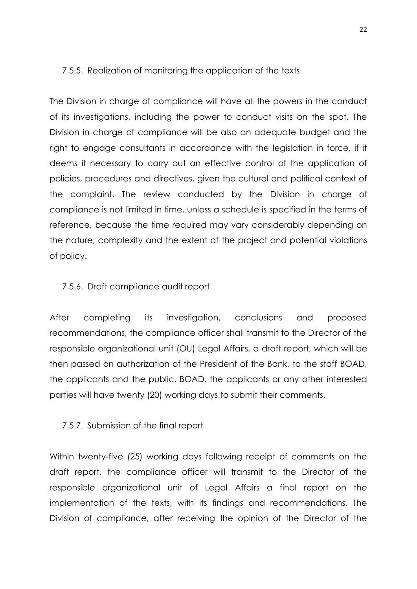#### <span id="page-21-0"></span>7.5.5. Realization of monitoring the application of the texts

The Division in charge of compliance will have all the powers in the conduct of its investigations, including the power to conduct visits on the spot. The Division in charge of compliance will be also an adequate budget and the right to engage consultants in accordance with the legislation in force, if it deems it necessary to carry out an effective control of the application of policies, procedures and directives, given the cultural and political context of the complaint. The review conducted by the Division in charge of compliance is not limited in time, unless a schedule is specified in the terms of reference, because the time required may vary considerably depending on the nature, complexity and the extent of the project and potential violations of policy.

#### <span id="page-21-1"></span>7.5.6. Draft compliance audit report

After completing its investigation, conclusions and proposed recommendations, the compliance officer shall transmit to the Director of the responsible organizational unit (OU) Legal Affairs, a draft report, which will be then passed on authorization of the President of the Bank, to the staff BOAD, the applicants and the public. BOAD, the applicants or any other interested parties will have twenty (20) working days to submit their comments.

#### <span id="page-21-2"></span>7.5.7. Submission of the final report

Within twenty-five (25) working days following receipt of comments on the draft report, the compliance officer will transmit to the Director of the responsible organizational unit of Legal Affairs a final report on the implementation of the texts, with its findings and recommendations. The Division of compliance, after receiving the opinion of the Director of the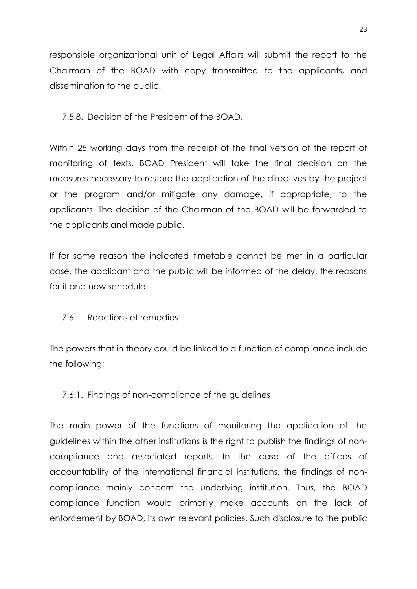responsible organizational unit of Legal Affairs will submit the report to the Chairman of the BOAD with copy transmitted to the applicants, and dissemination to the public.

### <span id="page-22-0"></span>7.5.8. Decision of the President of the BOAD.

Within 25 working days from the receipt of the final version of the report of monitoring of texts, BOAD President will take the final decision on the measures necessary to restore the application of the directives by the project or the program and/or mitigate any damage, if appropriate, to the applicants. The decision of the Chairman of the BOAD will be forwarded to the applicants and made public.

If for some reason the indicated timetable cannot be met in a particular case, the applicant and the public will be informed of the delay, the reasons for it and new schedule.

# <span id="page-22-1"></span>7.6. Reactions et remedies

The powers that in theory could be linked to a function of compliance include the following:

# <span id="page-22-2"></span>7.6.1. Findings of non-compliance of the guidelines

The main power of the functions of monitoring the application of the guidelines within the other institutions is the right to publish the findings of noncompliance and associated reports. In the case of the offices of accountability of the international financial institutions, the findings of noncompliance mainly concern the underlying institution. Thus, the BOAD compliance function would primarily make accounts on the lack of enforcement by BOAD, its own relevant policies. Such disclosure to the public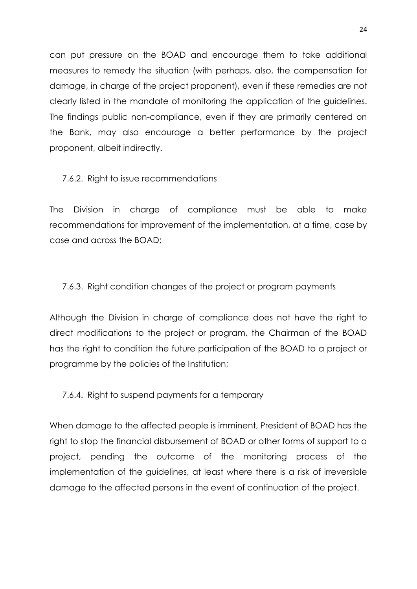can put pressure on the BOAD and encourage them to take additional measures to remedy the situation (with perhaps, also, the compensation for damage, in charge of the project proponent), even if these remedies are not clearly listed in the mandate of monitoring the application of the guidelines. The findings public non-compliance, even if they are primarily centered on the Bank, may also encourage a better performance by the project proponent, albeit indirectly.

<span id="page-23-0"></span>7.6.2. Right to issue recommendations

The Division in charge of compliance must be able to make recommendations for improvement of the implementation, at a time, case by case and across the BOAD;

<span id="page-23-1"></span>7.6.3. Right condition changes of the project or program payments

Although the Division in charge of compliance does not have the right to direct modifications to the project or program, the Chairman of the BOAD has the right to condition the future participation of the BOAD to a project or programme by the policies of the Institution;

<span id="page-23-2"></span>7.6.4. Right to suspend payments for a temporary

When damage to the affected people is imminent, President of BOAD has the right to stop the financial disbursement of BOAD or other forms of support to a project, pending the outcome of the monitoring process of the implementation of the guidelines, at least where there is a risk of irreversible damage to the affected persons in the event of continuation of the project.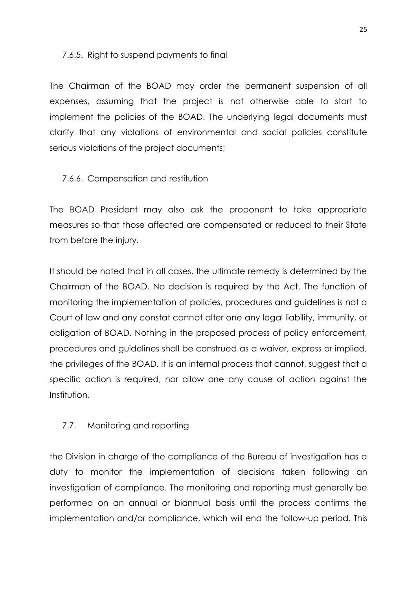#### <span id="page-24-0"></span>7.6.5. Right to suspend payments to final

The Chairman of the BOAD may order the permanent suspension of all expenses, assuming that the project is not otherwise able to start to implement the policies of the BOAD. The underlying legal documents must clarify that any violations of environmental and social policies constitute serious violations of the project documents;

### <span id="page-24-1"></span>7.6.6. Compensation and restitution

The BOAD President may also ask the proponent to take appropriate measures so that those affected are compensated or reduced to their State from before the injury.

It should be noted that in all cases, the ultimate remedy is determined by the Chairman of the BOAD. No decision is required by the Act. The function of monitoring the implementation of policies, procedures and guidelines is not a Court of law and any constat cannot alter one any legal liability, immunity, or obligation of BOAD. Nothing in the proposed process of policy enforcement, procedures and guidelines shall be construed as a waiver, express or implied, the privileges of the BOAD. It is an internal process that cannot, suggest that a specific action is required, nor allow one any cause of action against the Institution.

# <span id="page-24-2"></span>7.7. Monitoring and reporting

the Division in charge of the compliance of the Bureau of investigation has a duty to monitor the implementation of decisions taken following an investigation of compliance. The monitoring and reporting must generally be performed on an annual or biannual basis until the process confirms the implementation and/or compliance, which will end the follow-up period. This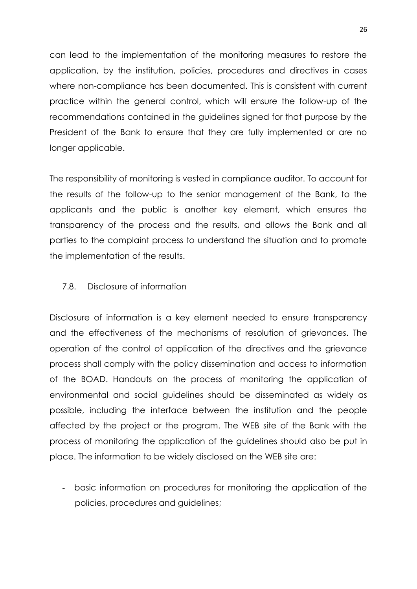can lead to the implementation of the monitoring measures to restore the application, by the institution, policies, procedures and directives in cases where non-compliance has been documented. This is consistent with current practice within the general control, which will ensure the follow-up of the recommendations contained in the guidelines signed for that purpose by the President of the Bank to ensure that they are fully implemented or are no longer applicable.

The responsibility of monitoring is vested in compliance auditor. To account for the results of the follow-up to the senior management of the Bank, to the applicants and the public is another key element, which ensures the transparency of the process and the results, and allows the Bank and all parties to the complaint process to understand the situation and to promote the implementation of the results.

#### <span id="page-25-0"></span>7.8. Disclosure of information

Disclosure of information is a key element needed to ensure transparency and the effectiveness of the mechanisms of resolution of grievances. The operation of the control of application of the directives and the grievance process shall comply with the policy dissemination and access to information of the BOAD. Handouts on the process of monitoring the application of environmental and social guidelines should be disseminated as widely as possible, including the interface between the institution and the people affected by the project or the program. The WEB site of the Bank with the process of monitoring the application of the guidelines should also be put in place. The information to be widely disclosed on the WEB site are:

- basic information on procedures for monitoring the application of the policies, procedures and guidelines;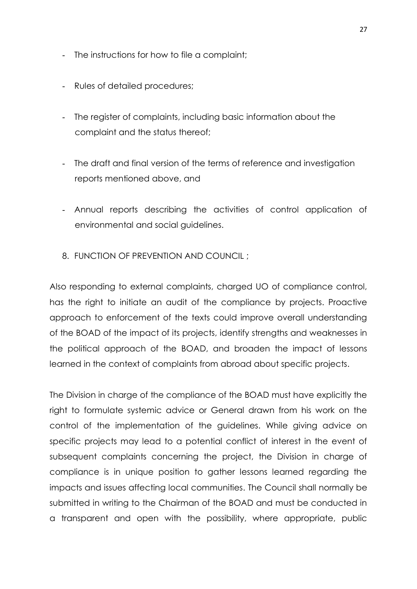- The instructions for how to file a complaint;
- Rules of detailed procedures;
- The register of complaints, including basic information about the complaint and the status thereof;
- The draft and final version of the terms of reference and investigation reports mentioned above, and
- Annual reports describing the activities of control application of environmental and social guidelines.
- <span id="page-26-0"></span>8. FUNCTION OF PREVENTION AND COUNCIL ;

Also responding to external complaints, charged UO of compliance control, has the right to initiate an audit of the compliance by projects. Proactive approach to enforcement of the texts could improve overall understanding of the BOAD of the impact of its projects, identify strengths and weaknesses in the political approach of the BOAD, and broaden the impact of lessons learned in the context of complaints from abroad about specific projects.

The Division in charge of the compliance of the BOAD must have explicitly the right to formulate systemic advice or General drawn from his work on the control of the implementation of the guidelines. While giving advice on specific projects may lead to a potential conflict of interest in the event of subsequent complaints concerning the project, the Division in charge of compliance is in unique position to gather lessons learned regarding the impacts and issues affecting local communities. The Council shall normally be submitted in writing to the Chairman of the BOAD and must be conducted in a transparent and open with the possibility, where appropriate, public